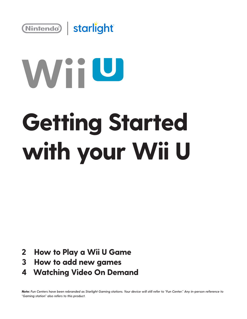

# WiiU

## **Getting Started with your Wii U**

- **How to Play a Wii U Game 2**
- **How to add new games 3**
- **Watching Video On Demand 4**

*Note: Fun Centers have been rebranded as Starlight Gaming stations. Your device will still refer to "Fun Center." Any in-person reference to "Gaming station" also refers to this product.*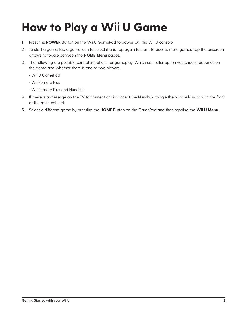### **How to Play a Wii U Game**

- 1. Press the **POWER** Button on the Wii U GamePad to power ON the Wii U console.
- 2. To start a game, tap a game icon to select it and tap again to start. To access more games, tap the onscreen arrows to toggle between the **HOME Menu** pages.
- 3. The following are possible controller options for gameplay. Which controller option you choose depends on the game and whether there is one or two players.
	- Wii U GamePad
	- Wii Remote Plus
	- Wii Remote Plus and Nunchuk
- 4. If there is a message on the TV to connect or disconnect the Nunchuk, toggle the Nunchuk switch on the front of the main cabinet.
- 5. Select a different game by pressing the **HOME** Button on the GamePad and then tapping the **Wii U Menu.**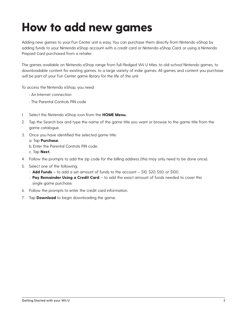#### **How to add new games**

Adding new games to your Fun Center unit is easy. You can purchase them directly from Nintendo eShop by adding funds to your Nintendo eShop account with a credit card or Nintendo eShop Card, or using a Nintendo Prepaid Card purchased from a retailer.

The games available on Nintendo eShop range from full-fledged Wii U titles, to old-school Nintendo games, to downloadable content for existing games, to a large variety of indie games. All games and content you purchase will be part of your Fun Center game library for the life of the unit.

To access the Nintendo eShop, you need:

- An Internet connection
- The Parental Controls PIN code
- 1. Select the Nintendo eShop icon from the **HOME Menu.**
- 2. Tap the Search box and type the name of the game title you want or browse to the game title from the game catalogue.
- 3. Once you have identified the selected game title:

a. Tap **Purchase.**

b. Enter the Parental Controls PIN code.

- c. Tap **Next.**
- 4. Follow the prompts to add the zip code for the billing address (this may only need to be done once).
- 5. Select one of the following:
	- **Add Funds** to add a set amount of funds to the account \$10, \$20, \$50, or \$100.
	- **Pay Remainder Using a Credit Card** to add the exact amount of funds needed to cover this single game purchase.
- 6. Follow the prompts to enter the credit card information.
- 7. Tap **Download** to begin downloading the game.